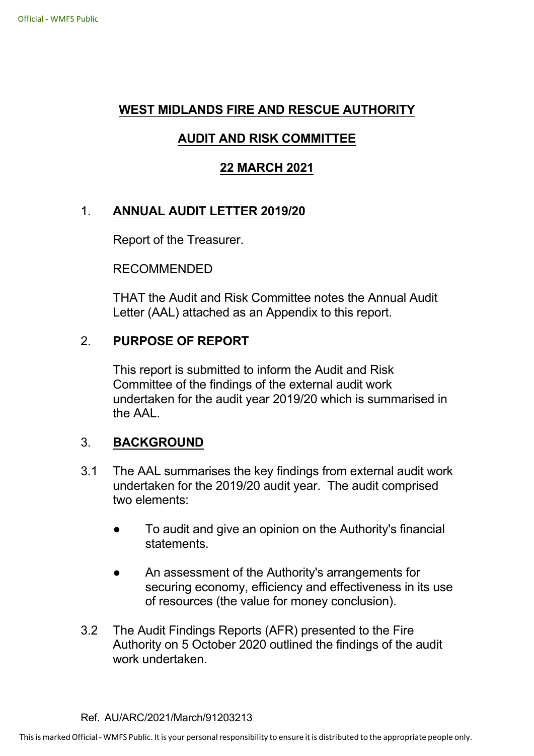## **WEST MIDLANDS FIRE AND RESCUE AUTHORITY**

# **AUDIT AND RISK COMMITTEE**

## **22 MARCH 2021**

# 1. **ANNUAL AUDIT LETTER 2019/20**

Report of the Treasurer.

RECOMMENDED

THAT the Audit and Risk Committee notes the Annual Audit Letter (AAL) attached as an Appendix to this report.

## 2. **PURPOSE OF REPORT**

This report is submitted to inform the Audit and Risk Committee of the findings of the external audit work undertaken for the audit year 2019/20 which is summarised in the AAL.

#### 3. **BACKGROUND**

- 3.1 The AAL summarises the key findings from external audit work undertaken for the 2019/20 audit year. The audit comprised two elements:
	- To audit and give an opinion on the Authority's financial statements.
	- An assessment of the Authority's arrangements for securing economy, efficiency and effectiveness in its use of resources (the value for money conclusion).
- 3.2 The Audit Findings Reports (AFR) presented to the Fire Authority on 5 October 2020 outlined the findings of the audit work undertaken.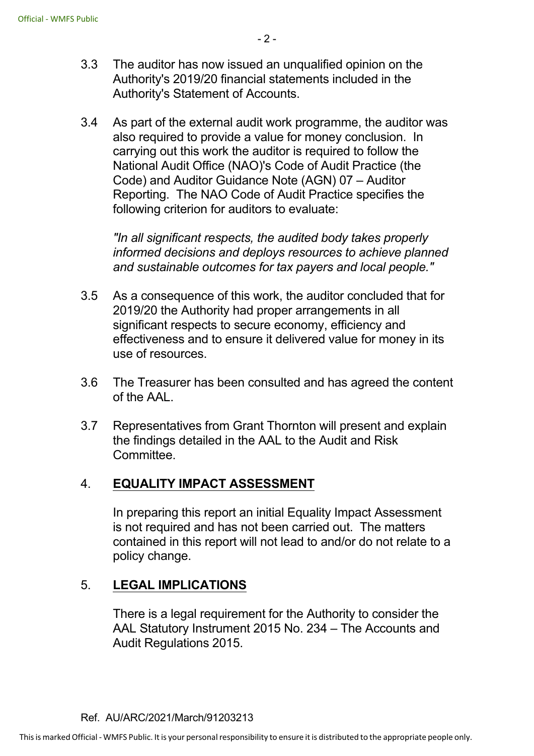- 3.3 The auditor has now issued an unqualified opinion on the Authority's 2019/20 financial statements included in the Authority's Statement of Accounts.
- 3.4 As part of the external audit work programme, the auditor was also required to provide a value for money conclusion. In carrying out this work the auditor is required to follow the National Audit Office (NAO)'s Code of Audit Practice (the Code) and Auditor Guidance Note (AGN) 07 – Auditor Reporting. The NAO Code of Audit Practice specifies the following criterion for auditors to evaluate:

*"In all significant respects, the audited body takes properly informed decisions and deploys resources to achieve planned and sustainable outcomes for tax payers and local people."*

- 3.5 As a consequence of this work, the auditor concluded that for 2019/20 the Authority had proper arrangements in all significant respects to secure economy, efficiency and effectiveness and to ensure it delivered value for money in its use of resources.
- 3.6 The Treasurer has been consulted and has agreed the content of the AAL.
- 3.7 Representatives from Grant Thornton will present and explain the findings detailed in the AAL to the Audit and Risk Committee.

## 4. **EQUALITY IMPACT ASSESSMENT**

In preparing this report an initial Equality Impact Assessment is not required and has not been carried out. The matters contained in this report will not lead to and/or do not relate to a policy change.

## 5. **LEGAL IMPLICATIONS**

There is a legal requirement for the Authority to consider the AAL Statutory Instrument 2015 No. 234 – The Accounts and Audit Regulations 2015.